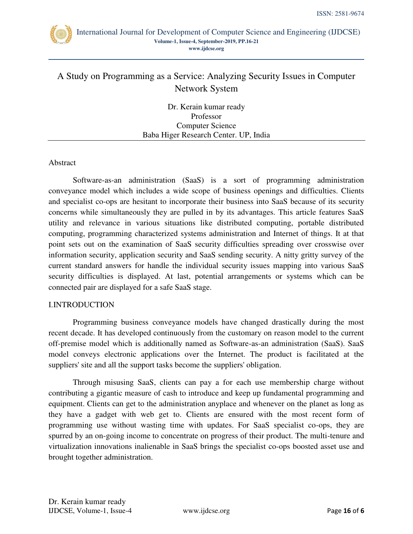

# A Study on Programming as a Service: Analyzing Security Issues in Computer Network System

Dr. Kerain kumar ready Professor Computer Science Baba Higer Research Center. UP, India

## Abstract

Software-as-an administration (SaaS) is a sort of programming administration conveyance model which includes a wide scope of business openings and difficulties. Clients and specialist co-ops are hesitant to incorporate their business into SaaS because of its security concerns while simultaneously they are pulled in by its advantages. This article features SaaS utility and relevance in various situations like distributed computing, portable distributed computing, programming characterized systems administration and Internet of things. It at that point sets out on the examination of SaaS security difficulties spreading over crosswise over information security, application security and SaaS sending security. A nitty gritty survey of the current standard answers for handle the individual security issues mapping into various SaaS security difficulties is displayed. At last, potential arrangements or systems which can be connected pair are displayed for a safe SaaS stage.

## I.INTRODUCTION

Programming business conveyance models have changed drastically during the most recent decade. It has developed continuously from the customary on reason model to the current off-premise model which is additionally named as Software-as-an administration (SaaS). SaaS model conveys electronic applications over the Internet. The product is facilitated at the suppliers' site and all the support tasks become the suppliers' obligation.

Through misusing SaaS, clients can pay a for each use membership charge without contributing a gigantic measure of cash to introduce and keep up fundamental programming and equipment. Clients can get to the administration anyplace and whenever on the planet as long as they have a gadget with web get to. Clients are ensured with the most recent form of programming use without wasting time with updates. For SaaS specialist co-ops, they are spurred by an on-going income to concentrate on progress of their product. The multi-tenure and virtualization innovations inalienable in SaaS brings the specialist co-ops boosted asset use and brought together administration.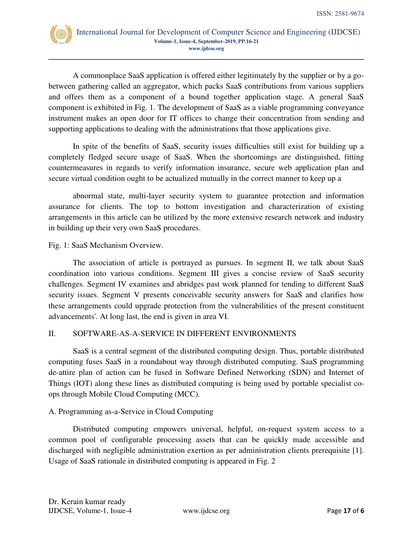

A commonplace SaaS application is offered either legitimately by the supplier or by a gobetween gathering called an aggregator, which packs SaaS contributions from various suppliers and offers them as a component of a bound together application stage. A general SaaS component is exhibited in Fig. 1. The development of SaaS as a viable programming conveyance instrument makes an open door for IT offices to change their concentration from sending and supporting applications to dealing with the administrations that those applications give.

In spite of the benefits of SaaS, security issues difficulties still exist for building up a completely fledged secure usage of SaaS. When the shortcomings are distinguished, fitting countermeasures in regards to verify information insurance, secure web application plan and secure virtual condition ought to be actualized mutually in the correct manner to keep up a

abnormal state, multi-layer security system to guarantee protection and information assurance for clients. The top to bottom investigation and characterization of existing arrangements in this article can be utilized by the more extensive research network and industry in building up their very own SaaS procedures.

Fig. 1: SaaS Mechanism Overview.

The association of article is portrayed as pursues. In segment II, we talk about SaaS coordination into various conditions. Segment III gives a concise review of SaaS security challenges. Segment IV examines and abridges past work planned for tending to different SaaS security issues. Segment V presents conceivable security answers for SaaS and clarifies how these arrangements could upgrade protection from the vulnerabilities of the present constituent advancements'. At long last, the end is given in area VI.

# II. SOFTWARE-AS-A-SERVICE IN DIFFERENT ENVIRONMENTS

SaaS is a central segment of the distributed computing design. Thus, portable distributed computing fuses SaaS in a roundabout way through distributed computing. SaaS programming de-attire plan of action can be fused in Software Defined Networking (SDN) and Internet of Things (IOT) along these lines as distributed computing is being used by portable specialist coops through Mobile Cloud Computing (MCC).

# A. Programming as-a-Service in Cloud Computing

Distributed computing empowers universal, helpful, on-request system access to a common pool of configurable processing assets that can be quickly made accessible and discharged with negligible administration exertion as per administration clients prerequisite [1]. Usage of SaaS rationale in distributed computing is appeared in Fig. 2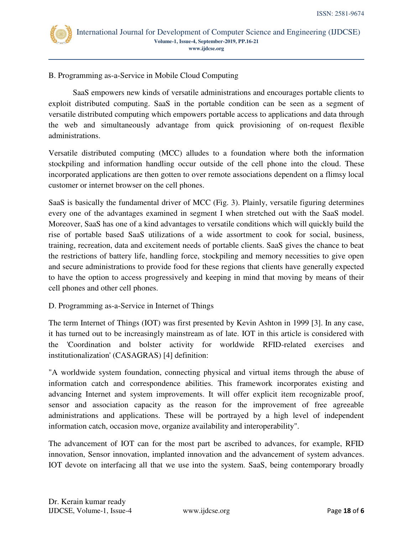

B. Programming as-a-Service in Mobile Cloud Computing

SaaS empowers new kinds of versatile administrations and encourages portable clients to exploit distributed computing. SaaS in the portable condition can be seen as a segment of versatile distributed computing which empowers portable access to applications and data through the web and simultaneously advantage from quick provisioning of on-request flexible administrations.

Versatile distributed computing (MCC) alludes to a foundation where both the information stockpiling and information handling occur outside of the cell phone into the cloud. These incorporated applications are then gotten to over remote associations dependent on a flimsy local customer or internet browser on the cell phones.

SaaS is basically the fundamental driver of MCC (Fig. 3). Plainly, versatile figuring determines every one of the advantages examined in segment I when stretched out with the SaaS model. Moreover, SaaS has one of a kind advantages to versatile conditions which will quickly build the rise of portable based SaaS utilizations of a wide assortment to cook for social, business, training, recreation, data and excitement needs of portable clients. SaaS gives the chance to beat the restrictions of battery life, handling force, stockpiling and memory necessities to give open and secure administrations to provide food for these regions that clients have generally expected to have the option to access progressively and keeping in mind that moving by means of their cell phones and other cell phones.

## D. Programming as-a-Service in Internet of Things

The term Internet of Things (IOT) was first presented by Kevin Ashton in 1999 [3]. In any case, it has turned out to be increasingly mainstream as of late. IOT in this article is considered with the 'Coordination and bolster activity for worldwide RFID-related exercises and institutionalization' (CASAGRAS) [4] definition:

"A worldwide system foundation, connecting physical and virtual items through the abuse of information catch and correspondence abilities. This framework incorporates existing and advancing Internet and system improvements. It will offer explicit item recognizable proof, sensor and association capacity as the reason for the improvement of free agreeable administrations and applications. These will be portrayed by a high level of independent information catch, occasion move, organize availability and interoperability".

The advancement of IOT can for the most part be ascribed to advances, for example, RFID innovation, Sensor innovation, implanted innovation and the advancement of system advances. IOT devote on interfacing all that we use into the system. SaaS, being contemporary broadly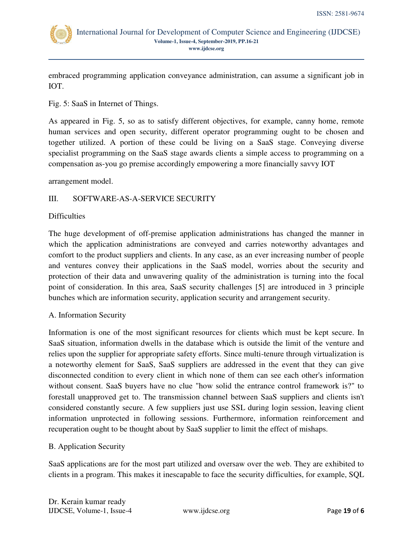

embraced programming application conveyance administration, can assume a significant job in IOT.

Fig. 5: SaaS in Internet of Things.

As appeared in Fig. 5, so as to satisfy different objectives, for example, canny home, remote human services and open security, different operator programming ought to be chosen and together utilized. A portion of these could be living on a SaaS stage. Conveying diverse specialist programming on the SaaS stage awards clients a simple access to programming on a compensation as-you go premise accordingly empowering a more financially savvy IOT

arrangement model.

# III. SOFTWARE-AS-A-SERVICE SECURITY

## Difficulties

The huge development of off-premise application administrations has changed the manner in which the application administrations are conveyed and carries noteworthy advantages and comfort to the product suppliers and clients. In any case, as an ever increasing number of people and ventures convey their applications in the SaaS model, worries about the security and protection of their data and unwavering quality of the administration is turning into the focal point of consideration. In this area, SaaS security challenges [5] are introduced in 3 principle bunches which are information security, application security and arrangement security.

# A. Information Security

Information is one of the most significant resources for clients which must be kept secure. In SaaS situation, information dwells in the database which is outside the limit of the venture and relies upon the supplier for appropriate safety efforts. Since multi-tenure through virtualization is a noteworthy element for SaaS, SaaS suppliers are addressed in the event that they can give disconnected condition to every client in which none of them can see each other's information without consent. SaaS buyers have no clue "how solid the entrance control framework is?" to forestall unapproved get to. The transmission channel between SaaS suppliers and clients isn't considered constantly secure. A few suppliers just use SSL during login session, leaving client information unprotected in following sessions. Furthermore, information reinforcement and recuperation ought to be thought about by SaaS supplier to limit the effect of mishaps.

# B. Application Security

SaaS applications are for the most part utilized and oversaw over the web. They are exhibited to clients in a program. This makes it inescapable to face the security difficulties, for example, SQL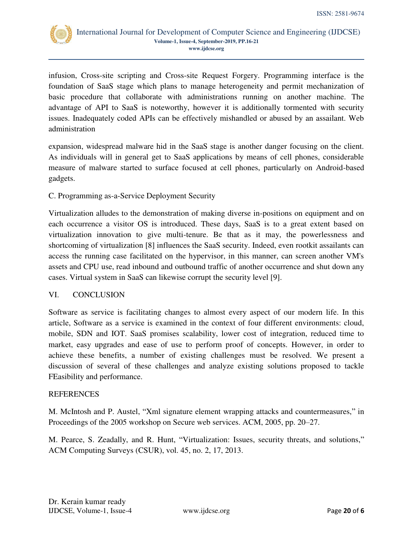

infusion, Cross-site scripting and Cross-site Request Forgery. Programming interface is the foundation of SaaS stage which plans to manage heterogeneity and permit mechanization of basic procedure that collaborate with administrations running on another machine. The advantage of API to SaaS is noteworthy, however it is additionally tormented with security issues. Inadequately coded APIs can be effectively mishandled or abused by an assailant. Web administration

expansion, widespread malware hid in the SaaS stage is another danger focusing on the client. As individuals will in general get to SaaS applications by means of cell phones, considerable measure of malware started to surface focused at cell phones, particularly on Android-based gadgets.

# C. Programming as-a-Service Deployment Security

Virtualization alludes to the demonstration of making diverse in-positions on equipment and on each occurrence a visitor OS is introduced. These days, SaaS is to a great extent based on virtualization innovation to give multi-tenure. Be that as it may, the powerlessness and shortcoming of virtualization [8] influences the SaaS security. Indeed, even rootkit assailants can access the running case facilitated on the hypervisor, in this manner, can screen another VM's assets and CPU use, read inbound and outbound traffic of another occurrence and shut down any cases. Virtual system in SaaS can likewise corrupt the security level [9].

## VI. CONCLUSION

Software as service is facilitating changes to almost every aspect of our modern life. In this article, Software as a service is examined in the context of four different environments: cloud, mobile, SDN and IOT. SaaS promises scalability, lower cost of integration, reduced time to market, easy upgrades and ease of use to perform proof of concepts. However, in order to achieve these benefits, a number of existing challenges must be resolved. We present a discussion of several of these challenges and analyze existing solutions proposed to tackle FEasibility and performance.

## **REFERENCES**

M. McIntosh and P. Austel, "Xml signature element wrapping attacks and countermeasures," in Proceedings of the 2005 workshop on Secure web services. ACM, 2005, pp. 20–27.

M. Pearce, S. Zeadally, and R. Hunt, "Virtualization: Issues, security threats, and solutions," ACM Computing Surveys (CSUR), vol. 45, no. 2, 17, 2013.